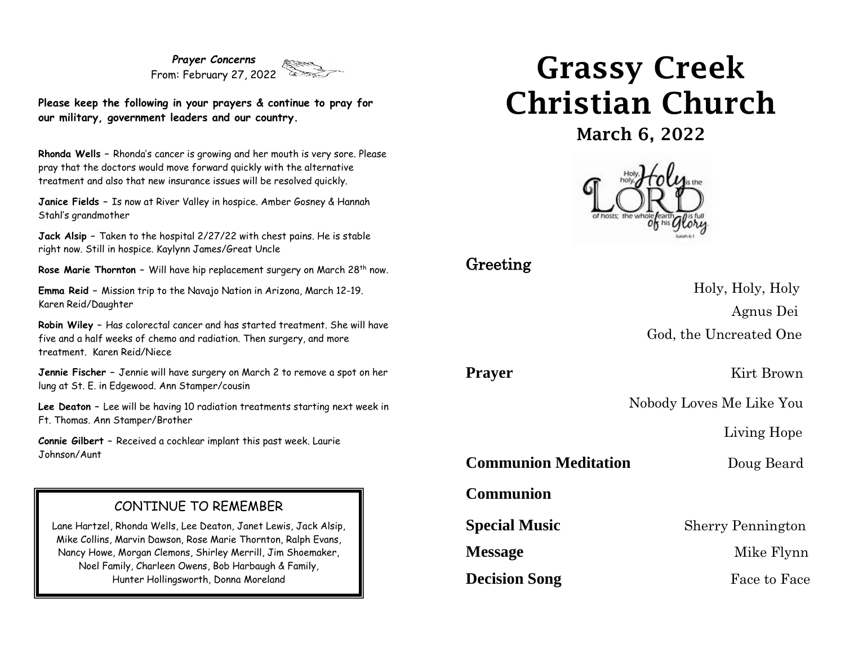*Prayer Concerns* From: February 27, 2022

**Please keep the following in your prayers & continue to pray for our military, government leaders and our country.**

**Rhonda Wells –** Rhonda's cancer is growing and her mouth is very sore. Please pray that the doctors would move forward quickly with the alternative treatment and also that new insurance issues will be resolved quickly.

**Janice Fields –** Is now at River Valley in hospice. Amber Gosney & Hannah Stahl's grandmother

**Jack Alsip –** Taken to the hospital 2/27/22 with chest pains. He is stable right now. Still in hospice. Kaylynn James/Great Uncle

**Rose Marie Thornton -** Will have hip replacement surgery on March 28<sup>th</sup> now.

**Emma Reid –** Mission trip to the Navajo Nation in Arizona, March 12-19. Karen Reid/Daughter

**Robin Wiley –** Has colorectal cancer and has started treatment. She will have five and a half weeks of chemo and radiation. Then surgery, and more treatment. Karen Reid/Niece

**Jennie Fischer –** Jennie will have surgery on March 2 to remove a spot on her lung at St. E. in Edgewood. Ann Stamper/cousin

**Lee Deaton –** Lee will be having 10 radiation treatments starting next week in Ft. Thomas. Ann Stamper/Brother

**Connie Gilbert –** Received a cochlear implant this past week. Laurie Johnson/Aunt

#### CONTINUE TO REMEMBER

Lane Hartzel, Rhonda Wells, Lee Deaton, Janet Lewis, Jack Alsip, Mike Collins, Marvin Dawson, Rose Marie Thornton, Ralph Evans, Nancy Howe, Morgan Clemons, Shirley Merrill, Jim Shoemaker, Noel Family, Charleen Owens, Bob Harbaugh & Family, Hunter Hollingsworth, Donna Moreland

# Grassy Creek Christian Church

March 6, 2022



## Greeting

 Holy, Holy, Holy Agnus Dei God, the Uncreated One

**Prayer** Kirt Brown

Nobody Loves Me Like You

Living Hope

**Communion Meditation** Doug Beard

**Communion** 

**Special Music** Sherry Pennington

**Decision Song** Face to Face

**Message** Mike Flynn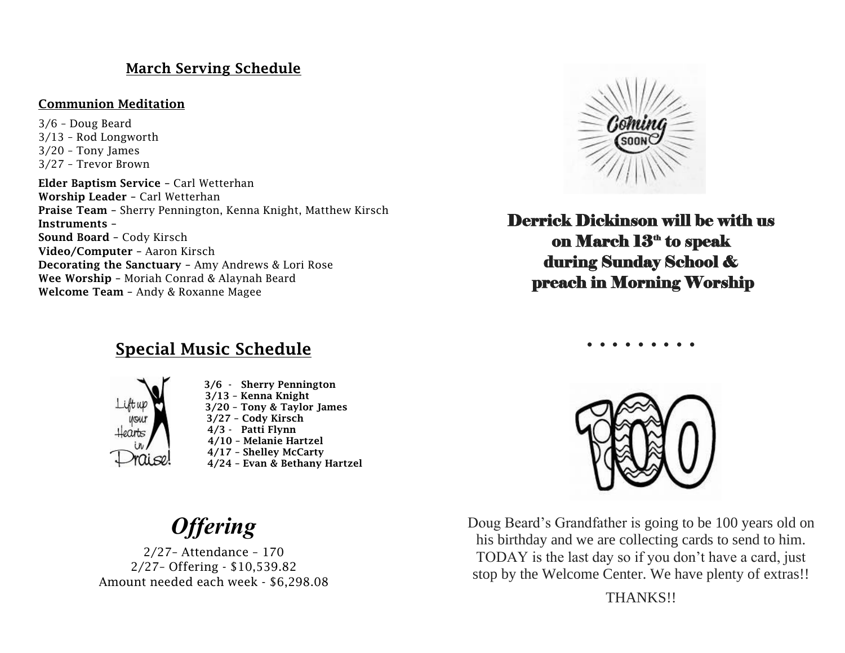### March Serving Schedule

#### Communion Meditation

3/6 – Doug Beard 3/13 – Rod Longworth 3/20 – Tony James 3/27 – Trevor Brown

Elder Baptism Service – Carl Wetterhan Worship Leader – Carl Wetterhan Praise Team – Sherry Pennington, Kenna Knight, Matthew Kirsch Instruments – Sound Board – Cody Kirsch Video/Computer – Aaron Kirsch Decorating the Sanctuary – Amy Andrews & Lori Rose Wee Worship – Moriah Conrad & Alaynah Beard Welcome Team – Andy & Roxanne Magee



Derrick Dickinson will be with us on March  $13^{\text{\tiny th}}$  to speak during Sunday School & preach in Morning Worship

**. . . . . . . . .**

# Special Music Schedule



 3/6 - Sherry Pennington 3/13 – Kenna Knight 3/20 – Tony & Taylor James 3/27 – Cody Kirsch 4/3 - Patti Flynn 4/10 – Melanie Hartzel 4/17 – Shelley McCarty 4/24 – Evan & Bethany Hartzel

*Offering*

2/27– Attendance – 170 2/27– Offering - \$10,539.82 Amount needed each week - \$6,298.08



Doug Beard's Grandfather is going to be 100 years old on his birthday and we are collecting cards to send to him. TODAY is the last day so if you don't have a card, just stop by the Welcome Center. We have plenty of extras!!

THANKS!!